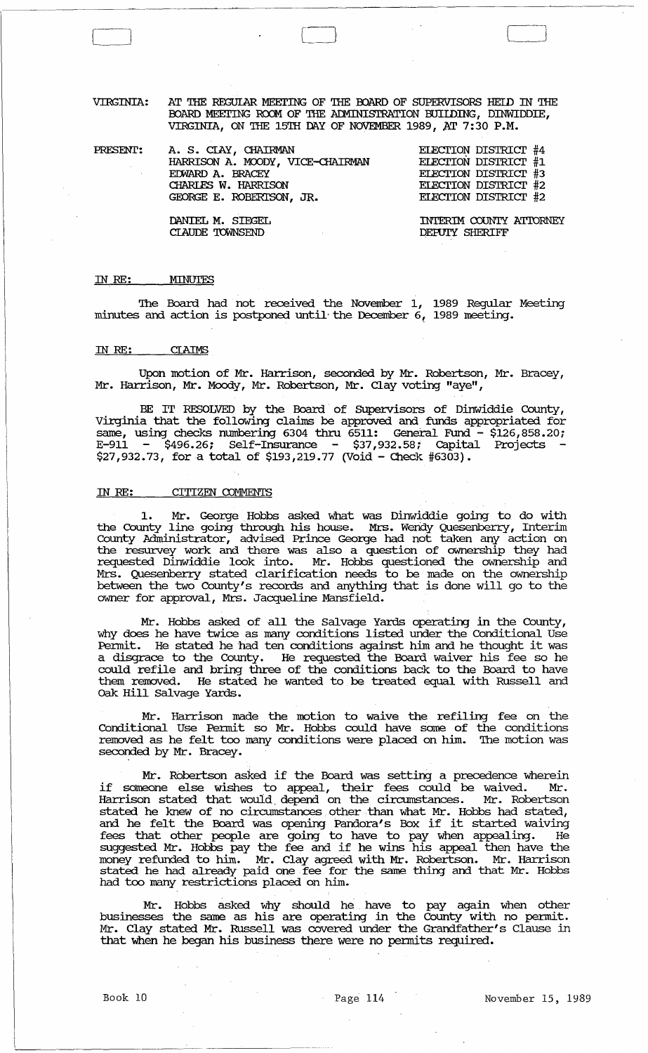VIRGINIA: AT THE REGUIAR MEETING OF THE BOARD OF SUPERVISORS HEID IN THE ROARD MEETING ROOM OF THE ADMINISTRATION BUILDING, DINWIDDIE, VIRGINIA, ON THE 15TH DAY OF NOVEMBER 1989, AT 7:30 P.M.

PRESENT: A. S. CIAY, CHAIRMAN HARRISON A. MOODY, VICE-cHAIRMAN EDWARD A. BRACEY CHARLES W. HARRISON GEORGE E. ROBERl'SON, JR.

EIEcrION DISTRIcr #4 EIEcrION DISTRIcr #1 EIECTION DISTRICT #3 EIEcrION DISTRIcr #2 EIEcrION DISTRIcr #2

 $\begin{array}{|c|} \hline \hline \hline \hline \hline \hline \hline \hline \end{array}$ 

DANIEL M. SIEGEL CIAUDE 'IOWNSEND

INTERIM COUNTY ATTORNEY DEPUTY SHERIFF

#### IN *RE:*  MINUTES

'Ihe Board had not received the November 1, 1989 Regular Meeting minutes and action is postponed until the December 6, 1989 meeting.

#### IN *RE:*  **CLAIMS**

Upon motion of Mr. Harrison, seconded by Mr. Robertson, Mr. Bracey, Mr. Harrison, Mr. Moody, Mr. Robertson, Mr. Clay voting "aye",

BE IT RESOLVED by the Board of Supervisors of Dinwiddie County, Virginia that the following claims be approved and funds appropriated for same, using checks numbering  $6304$  thru  $6511$ : General Fund -  $$126,858.20;$ E-911 - \$496.26; Self-Insurance - \$37,932.58; Capital Projects  $$27,932.73$ , for a total of  $$193,219.77$  (Void - Check #6303).

## IN RE: CITIZEN COMMENTS

Mr. George Hobbs asked what was Dinwiddie going to do with the County line going through his house. Mrs. Wendy Quesenberry, Interim County Administrator, advised Prince George had not taken any action on the resurvey work and there was also a question of ownership they had requested Dinwiddie look into. Mr. Hobbs questioned the ownership and Mrs. Quesenberry stated clarification needs to be made on the ownership between the two County's records and anything that is done will go to the owner for approval, Mrs. Jacqueline Mansfield.

Mr. Hobbs asked of all the Salvage Yards operating in the County, why does he have twice as many conditions listed under the Conditional Use Permit. He stated he had ten conditions against him and he thought it was a disgrace to the County. He requested the Board waiver his fee so he could refile and bring three of the conditions back to the Board to have them removed. He stated he wanted to be treated equal with Russell and oak. Hill Salvage Yards.

Mr. Harrison made the motion to waive the refiling fee on the Conditional Use Pennit so Mr. Hobbs could have same of the conditions removed as he felt too many conditions were placed on him. 'Ihe motion was seconded by Mr. Bracey.

Mr. Robertson asked if the Board was setting a precedence wherein if someone else wishes to appeal, their fees could be waived. Mr. Harrison stated that would depend on the circumstances. Mr. Robertson stated he knew of no circumstances other· than what Mr. Hobbs had stated, and he felt the Board was opening Pandora's Box if it started waiving fees that other people are going to have to pay when appealing. He suggested Mr. Hobbs pay the fee and if he wins his appeal then have the money refunded to him. Mr. Clay agreed with Mr. Robertson. Mr. Harrison stated he had already paid one fee for the same thing and that Mr. Hobbs had too many restrictions placed on him.

Mr. Hobbs asked why should he have to pay again when other businesses the same as his are operating in the County with no permit. Mr. Clay stated Mr. Russell was covered under the Grandfather's Clause in that when he began his business there were no pennits required.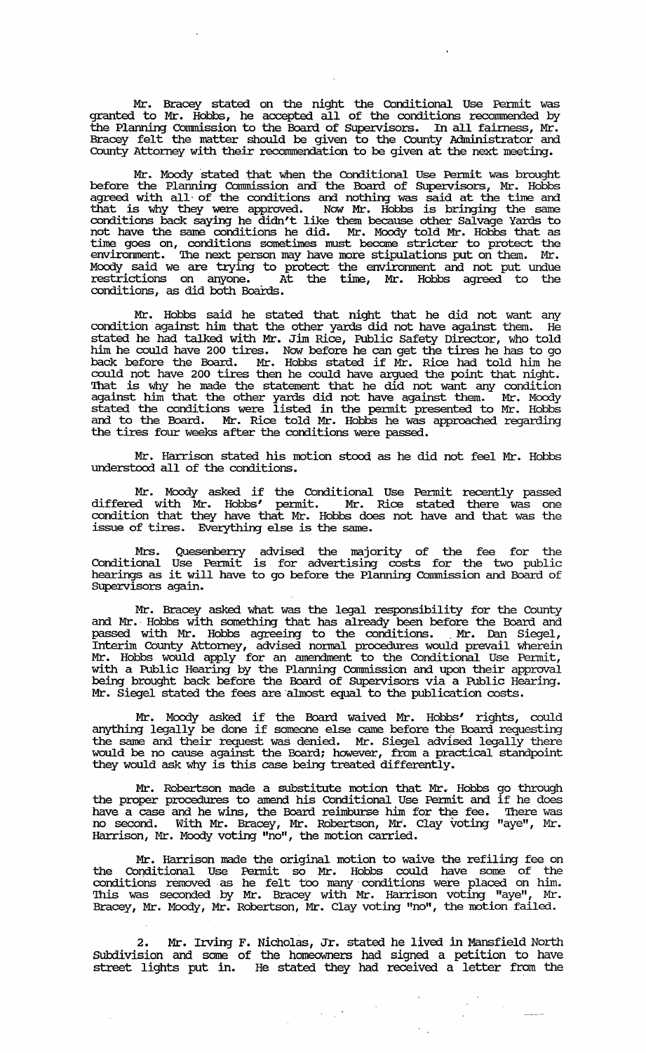Mr. Bracey stated on the night the Conditional Use Pennit was granted to Mr. Hobbs, he accepted all of the conditions reconnnended by the Planning Commission to the Board of Supervisors. In all fairness, Mr. Bracey felt the matter should be given to the County Administrator and County Attorney with their reconunendation to be given at the next meeting.

Mr. Moody 'stated that when the Conditional Use Pennit was brought before the Planning Commission and the Board of Supervisors, Mr. Hobbs agreed with all of the conditions and nothing was said at the time and that is why they were approved. Now Mr. Hobbs is bringing the same conditions back saying he didn't like them because other Salvage Yards to not have the same conditions he did. Mr. Moody told Mr. Hobbs that as time goes on, conditions somet:imes must become stricter to protect the environment. The next person may have more stipulations put on them. Mr. Mocxly said we are trying to protect the envirornnent and not put undue restrictions on anyone. At the time, Mr. Hobbs agreed to the conditions, as did both Boards.

Mr. Hobbs said he stated that night that he did not want any condition against him that the other yards did not have against them. He stated he had talked with Mr. Jim Rice, Public Safety Director, who told him he could have 200 tires. Now before he can get the tires he has to go back before the Board. Mr. Hobbs stated if Mr. Rice had told him he could not have 200 tires then he could have argued the point that night. That is why he made the statement that he did not want any condition against him that the other yards did not have against them. Mr. Moody stated the conditions were listed in the penuit presented to Mr. Hobbs and to the Board. Mr. Rice told Mr. Hobbs he was approached regarding the tires four weeks after the conditions were passed.

Mr. Harrison stated his motion stood as he did not feel Mr. Hobbs understood all of the conditions.

Mr. Moody asked if the Conditional Use Pennit recently passed differed with Mr. Hobbs' penuit. Mr. Rice stated there was one condition that they have that Mr. Hobbs does not have and that was the issue of tires. Everything else is the same.

Mrs. Quesenberry advised the majority of the fee for the Conditional Use Pennit is for advertising costs for the two public hearings as it will have to go before the Planning Commission and Board of SUpervisors again.

Mr. Bracey asked what was the legal responsibility for the County and Mr., Hobbs with something that has already been before the Board and passed with Mr. Hobbs agreeing to the conditions. Mr. Dan Siegel, Interim County Attorney, advised nonna! procedures would prevail wherein Mr. Hobbs would apply for an amendment to the Conditional Use Permit, with a Public Hearing by the Planning Commission and upon their approval being brought back before the Board of SUpervisors via a Public Hearing. Mr. Siegel stated the fees are almost equal to the publication costs.

Mr. Moody asked if the Board waived Mr. Hobbs' rights, could anything legally be done if someone else came before the Board requesting the same and their request was denied. Mr. Siegel advised legally there would be no cause against the Board; however, from a practical standpoint they would ask why is this case being treated differently.

Mr. Robertson made a substitute motion that Mr., Hobbs the proper procedures to amend his Conditional Use Pennit and have a case and he wins, the Board reimburse him for the fee. no second. With Mr. Bracey, Mr. Robertson, Mr. Clay voting Harrison, Mr. Moody voting "no", the motion carried. go through if he does '!here was "aye", Mr.

Mr. Harrison made the original motion to waive the refiling fee on the Conditional Use Pennit so Mr. Hobbs could have some of the conditions removed·as he felt too many" conditions were placed on him. This was seconded by Mr. Bracey with Mr. Harrison voting "aye", Mr. Bracey, Mr. Moody, Mr. Robertson, Mr. Clay voting "no", the motion failed.

2. Mr. Irving F. Nicholas, Jr. stated he lived in Mansfield North SUbdivision and some of the homeowners had signed a petition to have street lights put in. He stated they had received a letter from the

 $\mathcal{F}^{\text{c}}_{\text{c}}$  ,  $\mathcal{F}^{\text{c}}_{\text{c}}$  ,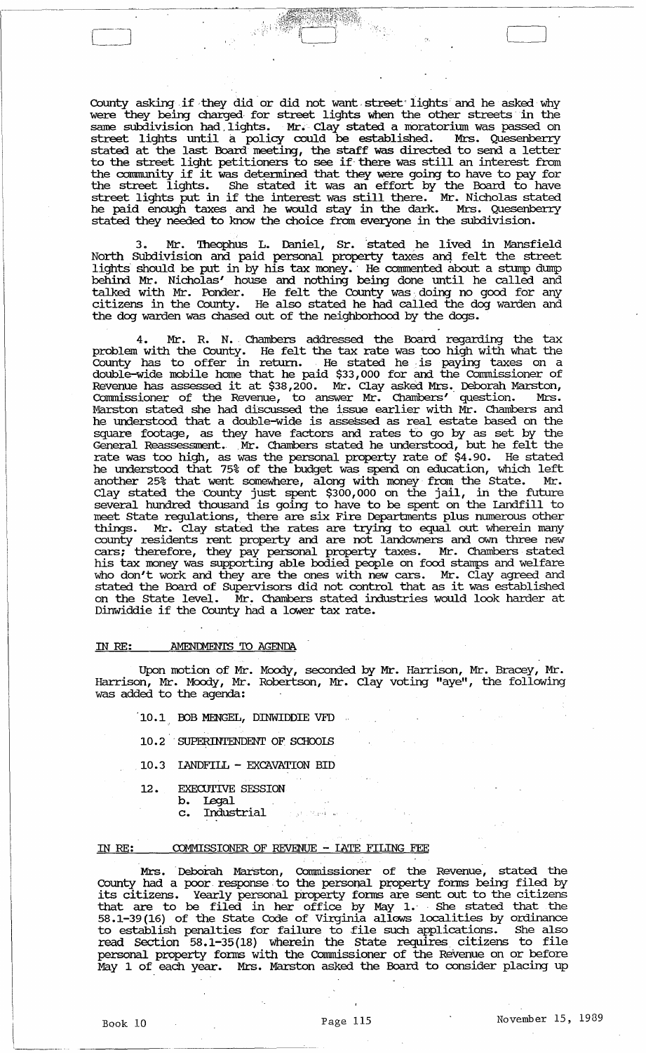County asking if they did or did not want street lights and he asked why were they being charged for street lights when the other streets in the same subdivision had. lights. Mr. Clay stated a moratorium was passed on street lights until a policy could be established. Mrs. Quesenberry stated at the last Board meeting, the staff was directed to send a letter to the street light petitioners to see if' there was still an interest from to the street light petitioners to see if there was still an interest from the street lights. She stated it was an effort by the Board to have street lights put in if the interest was an effort by the board to have he paid enough taxes and he would stay in the dark. Mrs. Quesenberry stated they needed to know the choice from everyone in the subdivision.

er ma

3. Mr. Theophus L. Daniel, Sr. stated he lived in Mansfield North Subdivision and paid personal property taxes and felt the street lights should be put in by his tax money. He commented about a stump dump behind Mr. Nicholas' house and nothing being done until he called and talked with Mr. Ponder. He felt the County was doing no good for any citizens in the County. He also stated he had called the dog warden and the dog warden was chased out of the neighbomood by the dogs.

4. Mr. R. N., Chambers addressed the Board regarding the tax problem with the County. He felt the tax rate was too high with what the County has to offer in return. He stated he is paying taxes on a double-wide mobile home that he paid \$33,000 for and the Commissioner of Revenue has assessed it at \$38,200. Mr. Clay asked Mrs. Deborah Marston, commissioner of the Revenue, to answer Mr. Chambers' question. Mrs. Marston stated she had discussed the issue earlier with  $\overline{M}$ r. Chambers and he understood that a double-wide is assessed as real estate based on the square footage, as they have factors and rates to go by as set by the General Reassessment. ,Mr. Chambers stated he understood, but he felt the rate was too high, as was the personal property rate of \$4.90. He stated he understood that 75% of the budget was spend on education, which left another 25% that went somewhere, along with money from the State. Mr. Clay stated the 'County just spent \$300,000 on the jail, in the future several hundred thousand is going to have to be spent on the landfill to meet State regulations, there are six Fire Departments plus numerous other things. Mr. Clay stated the rates are trying to equal out wherein many county residents rent property and are not landowners and own three new cars; therefore, they pay personal property taxes. Mr. Chambers stated his tax money was supporting able bodied people on food stamps and welfare who don't work and they are the ones with new cars. Mr. Clay agreed and stated the Board of Supervisors did not control that as it was established on the state level. Mr. Chambers stated industries would look harder at Dinwiddie if the County had a lower tax rate.

## IN RE: AMENDMENTS TO AGENDA

Upon motion of Mr. Moody, seconded by Mr. Harrison, Mr. Bracey, Mr. Harrison, Mr. Moody, Mr. Robertson, Mr. Clay voting "aye", the following was added to the agenda:

- 10.1 BOB MENGEL, DINWIDDIE VFD
- 10.2 'SUPERINTENDENT OF SCHooIS
- 10.3 IANDFILL EXCAVATION BID
- 12. EXECUTIVE SESSION
	- b. Legal<br>c. Indust
		- Industrial

#### IN RE: COMMISSIONER OF REVENUE - LATE FILING FEE

Mrs. Deborah Marston, Commissioner of the Revenue, stated the County had a poor response to the personal property forms being filed by its citizens. Yearly personal property foms are sent out to the citizens that are to be filed in her office by May 1. ' She stated that the 58.1-39(16) of the state Code of Virginia allows localities by ordinance to establish penalties for failure to .file such applications. She also read Section 58.1-35(18) wherein the state requires citizens to file personal property forms with the Commissioner of the Revenue on or before May 1 of each year. Mrs. Marston asked the Board to consider placing up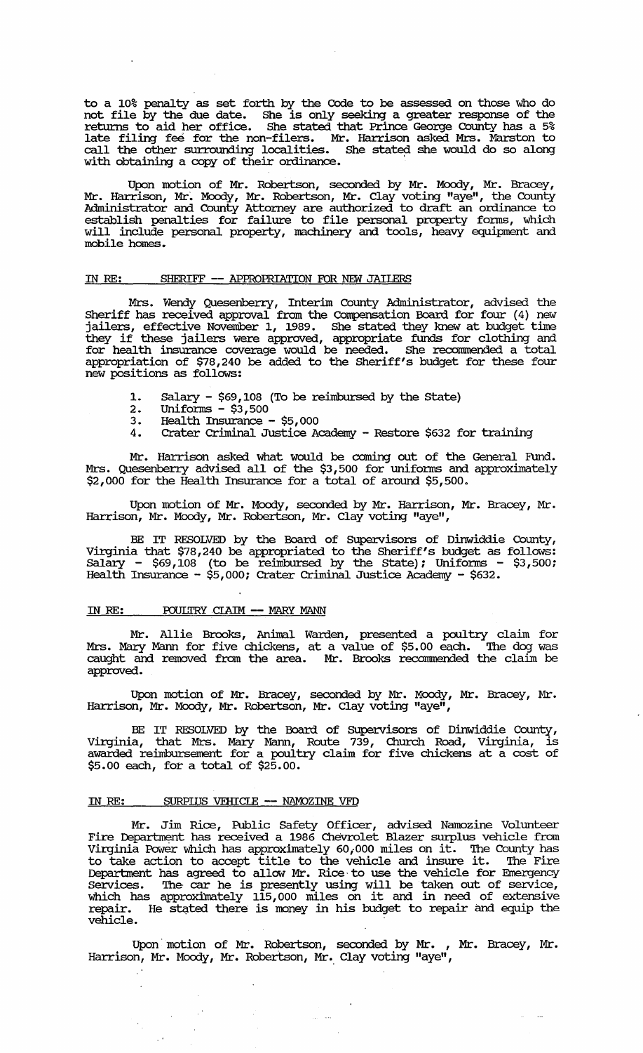to a 10% penalty as set forth by the Code to be assessed. on those who do not file by the due date. She is only seeking a greater response of the returns to aid her office. She stated that Prince George County has a 5% late filing fee for the non-filers. Mr. Harrison asked Mrs. Marston to call the other surrounding localities. She stated she would do so along with obtaining a copy of their ordinance. .

Upon motion of Mr. Robertson, seconded by Mr. Moody, Mr. Bracey, Mr. Harrison, Mr. Moody, Mr. Robertson, Mr. Clay voting "aye", the County Administrator and. County Attorney are authorized to draft an ordinance to establish penalties for failure to file personal property forms, which will include personal property, machinery and. tools, heavy equipment and. mobile homes ..

### IN RE: SHERIFF -- APPROPRIATION FOR NEW JAILERS

Mrs. Wendy Quesenberry, Interim County Administrator, advised the Sheriff has received approval from the Compensation Board for four (4) new jailers, effective November 1, 1989. She stated they knew at budget time they if these jailers were approved, appropriate funds for clothing and for health insurance coverage would be needed. She recommended a total appropriation of \$78,240 be added to the Sheriff's budget for these four new positions as follows:

- 1. Salary \$69,108 (To be reimbursed by the State)
- 2. Uniforms \$3,500
- 3. Health Insurance \$5,000<br>4. Crater Criminal Justice Ad
	- 4. Crater Criminal Justice Academy Restore \$632 for training

Mr. Harrison asked what would be coming out of the General Fund. Mrs. Quesenberry advised all of the \$3,500 for uniforms and approximately \$2,000 for the Health Insurance for a total of around \$5,500.

Upon motion of Mr. Moody, seconded by Mr. Harrison, Mr. Bracey, Mr. Harrison, Mr. Moody, Mr. Robertson, Mr. Clay voting "aye",

BE IT RESOLVED by the Board of SUpervisors of Dinwiddie County, Virginia that \$78,240 be appropriated to the Sheriff's budget as follows:  $S$ alary - \$69,108 (to be reimbursed by the state); Uniforms - \$3,500; Health Insurance - \$5,000; Crater Criminal Justice Academy - \$632.

## IN RE: POULTRY CIAIM -- MARY MANN

Mr. Allie Brooks, Animal Warden, presented a poultry claim for Mrs. Mary Mann for five chickens, at a value of \$5.00 each. The dog was caught and removed from the area. Mr. Brooks recommended the claim be approved.

Upon motion of Mr. Bracey, seconded by Mr. Moody, Mr. Bracey, Mr. Harrison, Mr. Moody, Mr. Robertson, Mr. Clay voting "aye",

BE IT RESOLVED by the Board of SUpervisors of Dinwiddie County, Virginia, that Mrs. Mary Mann, Route 739, Church Road, Virginia, is awarded reimbursement for a poultry claim for five chickens at a cost of \$5.00 each, for a total of \$25.00.

## IN RE: SURPIUS VEHICLE -- NAMOZINE VFD

 $\sim$   $\sim$ 

 $\sqrt{t}$ 

Mr. Jim Rice, Public Safety Officer, advised Namozine Volunteer Fire Department has received a 1986 Chevrolet Blazer surplus vehicle from Virginia Power which has approximately 60,000 miles on it. The County has to take action to accept title to the vehicle and insure it. The Fire Department has agreed to allow Mr. Rice to use the vehicle for Emergency services. The car he is presently using will be taken out of service, which has approxlinately 115,000 miles on it and. in need of extensive which has approximately inspect and on the did in hood of distance. vehicle.

Upon'motion of Mr. Robertson, seconded by Mr. , Mr. Bracey, Mr. Harrison, Mr. Moody, Mr. Robertson, Mr. Clay voting "aye",

لتتورث

 $\omega_{\rm{max}}$  and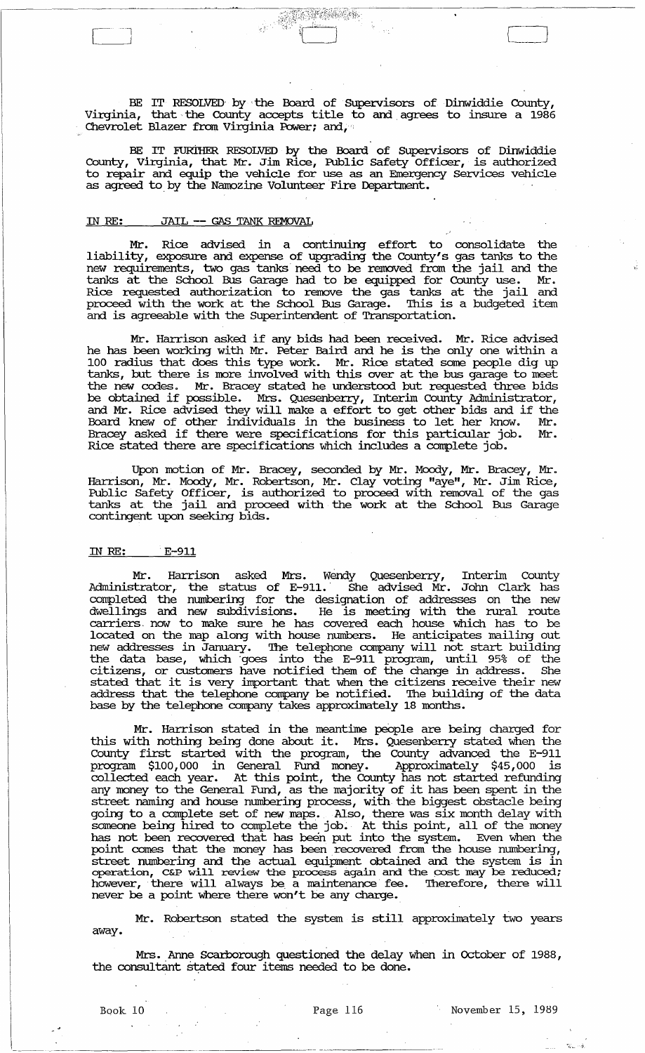BE IT RESOLVED by the Board of Supervisors of Dinwiddie County, Virginia, that the County accepts title to and agrees to insure a  $1986$ Chevrolet Blazer from Virginia Power; and,

 $\begin{bmatrix} 1 & 1 & 1 \\ 1 & 1 & 1 \\ 1 & 1 & 1 \end{bmatrix}$ 

BE IT FURiHER RESOLVED by the Board of SUpervisors of Dinwiddie County, Virginia, that Mr. Jim Rice, Public Safety Officer, is authorized to repair and equip the vehicle for use as an Emergency services vehicle as agreed to. by the Namozine Volunteer Fire Department.

## IN RE: JAIL -- GAS TANK REMOVAL

r~l

Mr. Rice advised in a continuing effort to consolidate the liability, exposure and expense of upgrading the County's gas tanks to the new requirements, two gas tanks· need to be removed from the jail and the tanks at the School Bus Garage had to be equipped for County use. Mr • Rice requested authorization to remove the gas tanks at the jail and proceed with the work at the School Bus Garage. This is a budgeted item and is agreeable with the Superintendent of Transportation.

Mr. Harrison asked if any bids had been received. Mr. Rice advised he has been working with Mr. Peter Baird and he is the only one within a 100 radius that does this type work. Mr. Rice stated some people dig up tanks, but there is more involved with this over at the bus garage to meet the new codes. Mr. Bracey stated he understood but requested three bids die new codes. In: Bracey stated he understood but requested three bits be obtained if possible. Mrs. Quesenberry, Interim County Administrator, and Mr. Rice advised they will make a effort to get other bids and if the Board knew of other individuals in the business to let her know. Mr • Bracey asked if there were specifications for this particular job. Mr. Rice stated there are specifications which includes a complete job.

Upon motion of Mr. Bracey, seconded by Mr. Moody, Mr. Bracey, Mr. Harrison, Mr. Moody, Mr. Robertson, Mr. Clay voting "aye", Mr. Jim Rice, Public Safety Officer, is authorized to proceed with removal of the gas tanks at the jail and proceed with the work at the School Bus Garage contingent upon seeking bids.

#### IN RE: . E-911

Mr. Harrison asked Mrs. Wendy Quesenberry, Interim County Administrator, the status of E-911. She advised Mr. John Clark has completed the numbering for the designation of addresses on the new dwellings and new subdivisions. He is meeting with the rural route carriers. now to make sure he has covered each house which has to be located on the map along with house numbers. He anticipates mailing out new addresses in January. The telephone company will not start building the data base, which "goes into the E-911 program, until 95% of the citizens, or customers have notified them of the change in address. She stated that it is very important that when the citizens receive their new address that the telephone company be notified. The building of the data base by the telephone company takes approximately 18 months.

Mr. Harrison stated in the meantime people are being charged for this with nothing being done about it. Mrs. Quesenberry stated when the County first started with the program, the County advanced the E-911 program \$100,000 in General Fund money. Approximately \$45,000 is collected each year. At this point, the County has not started refunding any money to the General Fund, as the majority of it has been spent in the street naming and house numbering process, with. the biggest obstacle being going to a complete set of new maps. Also, there was six month delay with some one of complete the state was seen the money in the money someone being hired to complete the job. At this point, all of the money has not been recovered that has been put into the system. Even when the point comes that the money has been recovered from the house numbering, street numbering and the actual equipment obtained and the system is in operation, C&P will review the process again and the cost may be reduced; however, there will always be. a maintenance fee. Therefore, there will never be a point where there won't be any charge.

Mr. Robertson stated the system is still approximately two years away.

Mrs. Anne Scarborough questioned the delay when in October of 1988, the consultant stated four items needed to be done.

'.L- "'.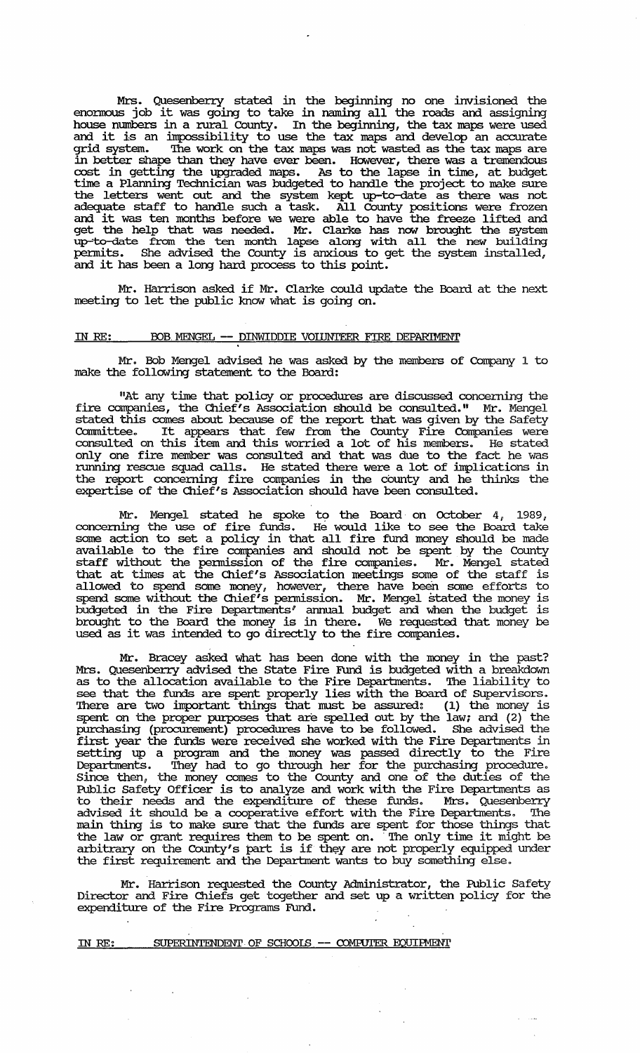Mrs. Quesenberry stated in the beginning no one invisioned the enonnous job it was going to take in naming all the roads and assigning house mnnbers in a rural County. In the beginning, the tax maps were used and it is an impossibility to use the tax maps and develop an accurate grid system. '!he work on the tax maps was not wasted as the tax maps are in better shape than they have ever been. However, there was a tremendous cost in getting the upgraded maps. As to the lapse in time, at budget time a Planning Technician was budgeted to handle the project to make sure the letters went out and the system kept up-to-date as there was not adequate staff to handle such a task. All County positions were frozen and it was ten months before we were able to have the freeze lifted and get the help that was needed. Mr. Clarke has now brought the system up-to-date from the ten month lapse along with all the new building pennits. She advised the County is anxious to get the system installed, permitts. She advised the County is anxious to g<br>and it has been a long hard process to this point.

Mr. Harrison asked if Mr. Clarke could update the Board at the next meeting to let the public know what is going on.

### IN RE: BOB MENGEL -- DINWIDDIE VOLUNTEER FIRE DEPARIMENT

Mr. Bob Mengel advised he was asked by the members of Company 1 to make the following statement to the Board:

"At any time that policy or procedures are discussed concerning the fire companies, the Chief's Association should be consulted." Mr. Mengel stated this comes about because of the report that was given by the Safety Committee. It appears that few from the County Fire Companies were consulted on this item and this worried a lot of his members. He stated only one fire member was consulted and that was due to the fact he was running rescue squad calls. He stated there were a lot of implications in the report concerning fire companies in the county and he thinks the expertise of the Chief's Association should have been consulted.

Mr. Mengel stated he spoke to the Board on October 4, 1989, concerning the use of fire funds. He would like to see the Board take some action to set a policy in that all fire fund money should be made available to the fire companies and should not be spent by the County staff without the permission of the fire companies. Mr. Mengel stated that at times at the Chief's Association meetings some of the staff is allowed to spend some money *u* however, there have beeri some efforts to spend some without the Chief's permission. Mr. Mengel stated the money is budgeted in the Fire Departments' annual budget and when the budget is brought to the Board the money is in there. We requested that money be used as it was intended to go directly to the fire companies.

Mr. Bracey asked what has been done with the money in the past? Mrs. Quesenberry advised the State Fire FUnd is budgeted with a breakdown as to the allocation available to the Fire Departments. The liability to see that the funds are spent properly lies with the Board of Supervisors. There are two important things that must be assured: (1) the money is spent on the proper purposes that are spelled out by the law; and (2) the purchasing (procurement) procedures have to be followed. She advised the first year the funds were received she worked with the Fire Departments in setting up a program and the money was passed directly to the Fire Departments. '!hey had to go through her for the purchasing procedure. since then, the money comes to the County and one of the duties of the Public Safety Officer is to analyze and work with the Fire Departments as to their needs and the expenditure of these funds. Mrs. Quesenberry advised it should be a cooperative effort with the Fire Departments. '!he main thing is to make sure that the funds are spent for those things that main thing is to make sure that the runds are spent for those things that<br>the law or grant requires them to be spent on. The only time it might be arbitrary on the County's part is if they are not properly equipped under the first requirement and the Deparbnent wants to buy something else.

Mr. Harrison requested the County Administrator, the Public Safety Director and Fire Chiefs get "together and set up a written policy for the expenditure of the Fire Programs FUnd.

IN RE: SUPERINTENDENT OF SCHOOLS. -- COMPUTER EQUIPMENT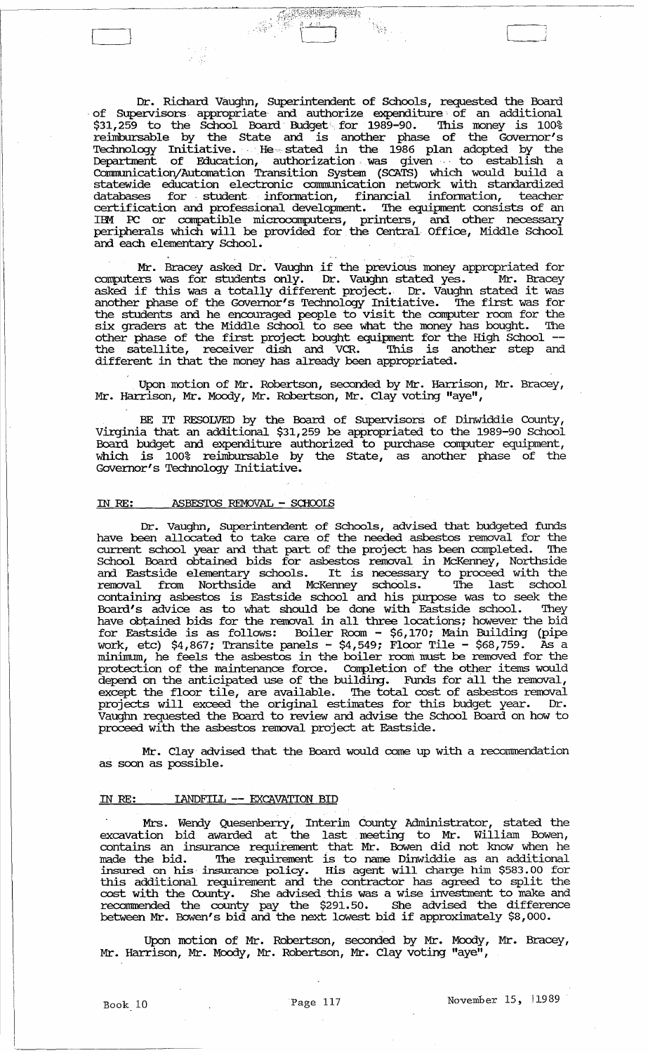Dr. Richard Vaughn, SUperintendent of Schools, requested the Board of Supervisors appropriate and authorize expenditure of an additional \$31,259 to the School Board Budget for 1989-90. '!his money is 100% reimbursable by the state and is another phase of the Governor's Technology Initiative. He stated in the 1986 plan adopted by the Department of Education, authorization . was given., to establish a CormnunicationjAutornation Transition System (SCATS) which would build a statewide education electronic communication network with standardized databases for student infonnation, financial infonnation, teacher certification am professional development. '!he equipment consists of an IBM PC or compatible microcomputers, printers, and other necessary peripherals which will be provided for the Central Office, Middle School and each elementary School.

Mr. Bracey asked Dr. Vaughn if the previous money appropriated for<br>ers was for students only. Dr. Vaughn stated yes. Mr. Bracey computers was for students only. Dr. Vaughn stated yes. asked if this was a totally different project. Dr. Vaughn stated it was another phase of the Governor's Technology Initiative. The first was for the students am he encouraged people to visit the computer room for the six graders at the Middle School to see what the money has bought. '!he other phase of the first project bought equipment for the High School **-** the satellite, receiver dish am VCR. 'Ibis is another step and different in that the money has already been appropriated.

Upon motion of Mr. Robertson, seconded by Mr. Harrison, Mr. Bracey, Mr. Harrison, Mr. Moody, Mr. Robertson, Mr. Clay voting "aye",

BE IT RESOLVED by the Board of SUpervisors of Dinwiddie County, Virginia that an additional \$31,259 be appropriated to the 1989-90 School Board budget and expenditure authorized to purchase computer equipment, which is 100% reimbursable by the state, as another phase of the Governor's Technology Initiative.

# IN RE: ASBFS'IDS REMOVAL - SCHOOLS

 $\mathcal{L}^{\text{max}}$ 

Dr. Vaughn, Superintendent of Schools, advised that budgeted funds have been allocated to take care of the needed asbestos removal for the current school year and that part of the project has been completed. The School Board obtained bids for asbestos removal in McKenney, Northside am Eastside elementary schools. It is necessary to proceed with the removal from Northside and McKenney schools. '!he last school containing asbestos is Eastside school and his purpose was to seek the Board's advice as to what should be done with Eastside school. '!hey have obtained bids for the removal in all three locations; however the bid for Eastside is as follows: Boiler Room - \$6,170; Main Building (pipe work, etc) \$4,867; Transite panels - \$4,549; Floor Tile - \$68,759. As a minimum, he feels the asbestos in the boiler room must be removed for the protection of the maintenance force. Completion of the other items would depend on the anticipated use of the building. Funds for all the removal, except the floor tile, are available. The total cost of asbestos removal projects will exceed the original estimates for this budget year. Dr. Vaughn requested the Board to review and advise the School Board on how to valger requested the board to review that davide the Be

Mr. Clay advised that the Board would come up with a recommendation as soon as possible.

#### IN RE: IANDFILL **--** EXCAVATION. BID

Mrs. Wendy Quesenberry, Interim County Administrator, stated the excavation bid awarded at the last meeting to Mr. William Bowen, contains an insurance requirement that Mr. Bowen did not know when he made the bid. '!he requirement is to name Dinwiddie as an additional insured on his· insurance policy. His agent will charge him \$583.00 for this additional requirement am the contractor has agreed to split the cost with the County. She advised this was a wise investment to make and recormnended the county pay the \$291.50. She advised the difference between Mr. Bowen's bid and the next lowest bid if approximately \$8,000.

Upon motion of Mr. Robertson, seconded by Mr. Moody, Mr. Bracey, Mr. Harrison, Mr. Moody, Mr. Robertson, Mr. Clay voting "aye",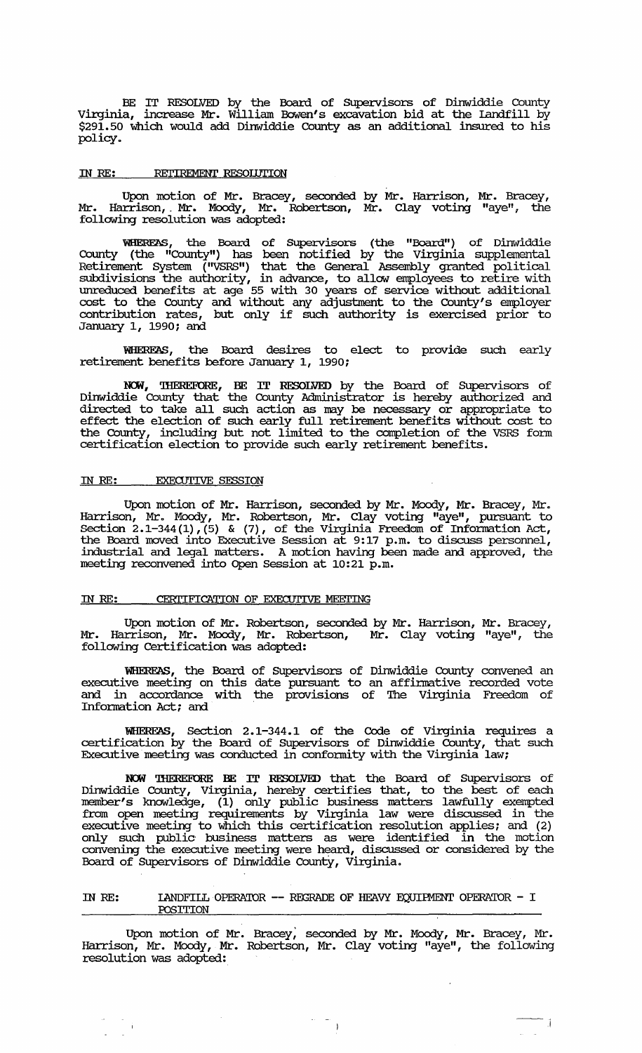BE IT RESOLVED by the Board of Supervisors of Dinwiddie County Virginia, increase Mr. William Bowen's excavation bid at the Landfill by \$291. 50 which would add Dinwiddie County as an additional insured to his policy.

#### IN RE: RETIREMENT RESOLUTION

Upon motion of Mr. Bracey, seconded by Mr. Harrison, Mr. Bracey, Mr. Harrison, Mr. Moody, Mr. Robertson, Mr. Clay voting "aye", the follawing resolution was adopted:

WHEREAS, the Board of Supervisors (the "Board") of Dinwiddie County (the "County") has been notified by the Virginia supplemental Retirement System *(''VSRS'')* that the General Assembly granted political subdivisions the authority, in advance, to allaw employees to retire with unreduced benefits at age 55 with 30 years of *service* without additional cost to the County and without any adjusbnent to the County's employer cost to the county that without any adjustment to the county's employer<br>contribution rates, but only if such authority is exercised prior to January 1, 1990; and

WHERFAS, the Board desires to elect to provide such early retirement benefits before January 1, 1990;

NOW, THEREFORE, BE IT RESOLVED by the Board of Supervisors of Dinwiddie County that the County Administrator is hereby authorized and directed to take all such action as may be necessary or appropriate to effect the election of such early full retirement benefits without cost to the County, including but not limited to the completion of the VSRS fonn certification election to provide such early retirement benefits.

## IN RE: EXECUTIVE SESSION

Upon motion of Mr. Harrison, seconded by Mr. Moody, Mr. Bracey, Mr. Harrison, Mr. Moody, Mr. Robertson, Mr. Clay voting "aye", pursuant to Section  $2.1-344(1)$ , (5) & (7), of the Virginia Freedom of Information Act, the Board moved into Executive Session at 9:17 p.m. to discuss personnel, industrial and legal matters. A motion having been made and approved, the meeting reconvened into Open Session at 10:21 p.m.

#### IN RE: CERTIFICATION OF EXECUTIVE MEETING

Upon motion of Mr. Robertson, seconded by Mr. Harrison, Mr. Bracey,<br>Irrison, Mr. Moody, Mr. Robertson, Mr. Clay voting "aye", the Mr. Harrison, Mr. Moody, Mr. Robertson, follawing Certification was adopted:

WHEREAS, the Board of Supervisors of Dinwiddie County convened an executive meeting on this date pursuant to an affirmative recorded vote and in accordance with the provisions of The Virginia Freedom of Information Act; and .

WHERFAS, Section 2.1-344.1 of the Code of Virginia requires a certification by the Board of Supervisors of Dinwiddie County, that such Executive meeting was conducted in confonnity with the Virginia law;

NOW THEREFORE BE IT RESOLVED that the Board of Supervisors of Dinwiddie County, Virginia, hereby certifies that, to the best of each member's knawledge, (1) only public business matters lawfully exempted from open meeting requirements by Virginia law were discussed in the executive meeting to which this certification resolution applies; and (2) only such public· business matters as were identified in the motion convening the executive meeting were heard, discussed or considered by the Board of Supervisors of Dinwiddie County, Virginia.

### IN RE: IANDFILL OPERATOR -- REGRADE OF HEAVY EQUIPMENT OPERATOR - I ro8ITION

Upon motion of Mr. Bracey; seconded by Mr. Moody, Mr. Bracey, Mr. Harrison, Mr. Moody, Mr. Robertson, Mr. Clay voting "aye", the following resolution was adopted:

 $\label{eq:2.1} \begin{array}{cc} \mathbb{E} & \mathbb{E} & \mathbb{E} \\ \mathbb{E} & \mathbb{E} & \mathbb{E} \\ \mathbb{E} & \mathbb{E} & \mathbb{E} \end{array}$ 

 $-1$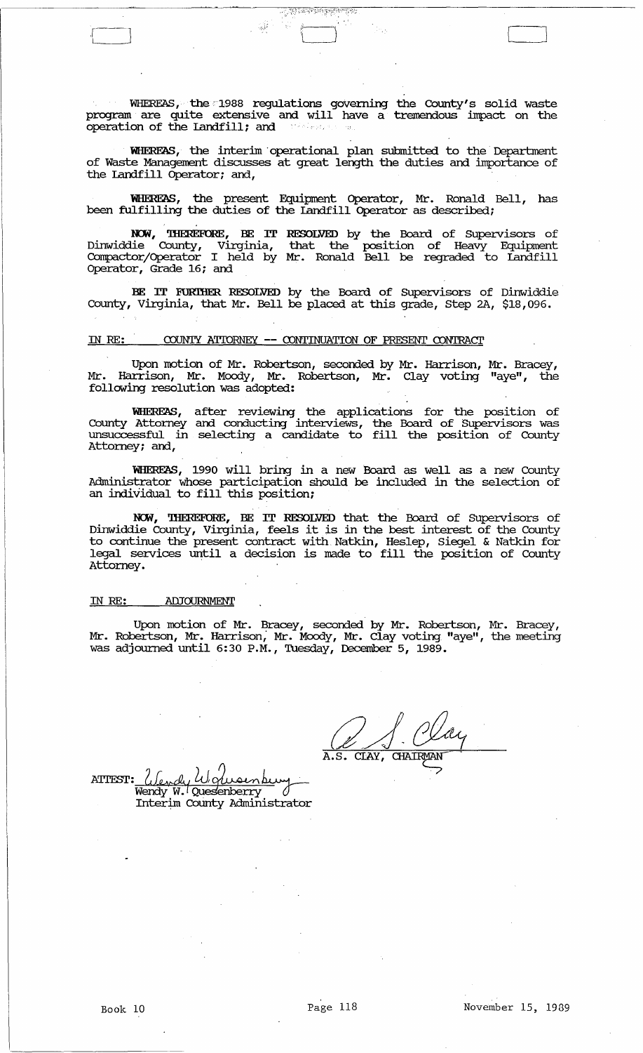WHEREAS, the'1988 regulations goVerning the County's solid waste program are quite extensive and will have a tremendous impact on the operation of the landfill; and

 $\mathbb{R}^2$  and  $\mathbb{R}^2$  and  $\mathbb{R}^2$ 

WHERFAS, the interim operational plan submitted to the Department of Waste Management discusses at great length the duties and importance of the landfill Operator; and,

WHEREAS, the present Equipment Operator, Mr. Ronald Bell, has been fulfilling the duties of the Landfill Operator as described;

NCM, 'lHEREF0RE, BE IT Dinwiddie County, Virginia, Compactor/Operator I held by Operator, Grade 16; and RESOLVED by the Board of supervisors of that the position of Heavy Equipment Mr. Ronald Bell be regraded to Landfill

BE IT FURIHER RESOLVED by the Board of Supervisors of Dinwiddie county, Virginia, that Mr. Bell be placed at this grade, step 2A, \$18,096.

### ill RE: COUNTY ATIORNEY **--** CONTINUATION OF PRESENT CONTRAcr

Upon motion of Mr. Robertson, seconded by Mr. Harrison, Mr. Bracey, Mr. Harrison, Mr. Moody, Mr. Robertson, Mr. Clay voting "aye", the following resolution was adopted:

WHERFAS, County Attorney unsuccessful in Attorney; and, after reviewing the applications for the position of and conducting interviews, the Board of Supervisors was selecting a candidate to fill the position of County

WHEREAS, 1990 will bring in a new Board as well as a new County Administrator whose participation should be included in the selection of an individual to fill this position;

**NCM,** 'lHEREF0RE, BE IT RESOLVED that the Board of SUpervisors of Dinwiddie County, Virginia, feels it is in the best interest of the County to continue the present contract with Natkin, Heslep, Siegel & Natkin for legal services until a decision is made to fill the position of County Attorney.

## IN RE: ADJOURNMENT

Upon motion of Mr. Bracey, seconded by Mr. Robertson, Mr. Bracey, Mr. Robertson, Mr. Harrison; Mr. Moody, Mr. Clay voting "aye", the meeting was adjourned until 6:30 P.M., Tuesday, December 5, 1989.

 $\overline{A.S.}$  $\overline{\text{CIAY}}$ , CHAIRMAN

ATTEST: *(Jendy W. Olusenburn)*<br>Wendy W. Quesenberry Wendy W. Quesenberry Interim County Administrator